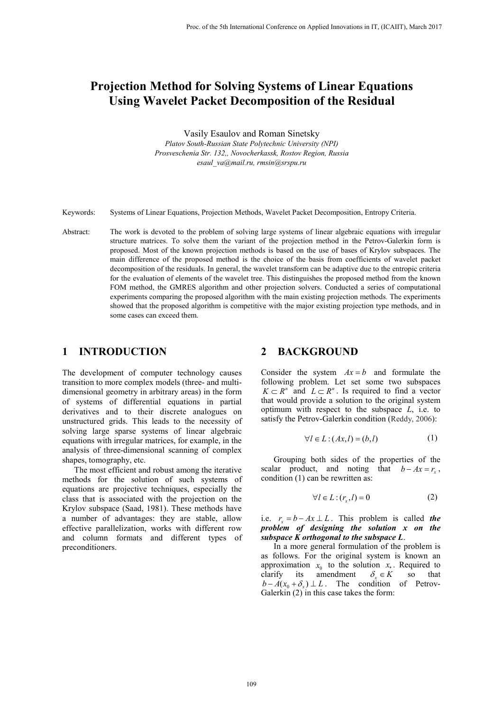# **Projection Method for Solving Systems of Linear Equations Using Wavelet Packet Decomposition of the Residual**

Vasily Esaulov and Roman Sinetsky

*Platov South-Russian State Polytechnic University (NPI) Prosveschenia Str. 132,, Novocherkassk, Rostov Region, Russia esaul\_va@mail.ru, rmsin@srspu.ru*

Keywords: Systems of Linear Equations, Projection Methods, Wavelet Packet Decomposition, Entropy Criteria.

Abstract: The work is devoted to the problem of solving large systems of linear algebraic equations with irregular structure matrices. To solve them the variant of the projection method in the Petrov-Galerkin form is proposed. Most of the known projection methods is based on the use of bases of Krylov subspaces. The main difference of the proposed method is the choice of the basis from coefficients of wavelet packet decomposition of the residuals. In general, the wavelet transform can be adaptive due to the entropic criteria for the evaluation of elements of the wavelet tree. This distinguishes the proposed method from the known FOM method, the GMRES algorithm and other projection solvers. Conducted a series of computational experiments comparing the proposed algorithm with the main existing projection methods. The experiments showed that the proposed algorithm is competitive with the major existing projection type methods, and in some cases can exceed them.

### **1 INTRODUCTION**

The development of computer technology causes transition to more complex models (three- and multidimensional geometry in arbitrary areas) in the form of systems of differential equations in partial derivatives and to their discrete analogues on unstructured grids. This leads to the necessity of solving large sparse systems of linear algebraic equations with irregular matrices, for example, in the analysis of three-dimensional scanning of complex shapes, tomography, etc.

The most efficient and robust among the iterative methods for the solution of such systems of equations are projective techniques, especially the class that is associated with the projection on the Krylov subspace (Saad, 1981). These methods have a number of advantages: they are stable, allow effective parallelization, works with different row and column formats and different types of preconditioners.

#### **2 BACKGROUND**

Consider the system  $Ax = b$  and formulate the following problem. Let set some two subspaces  $K \subset R^n$  and  $L \subset R^n$ . Is required to find a vector that would provide a solution to the original system optimum with respect to the subspace *L*, i.e. to satisfy the Petrov-Galerkin condition (Reddy, 2006):

$$
\forall l \in L : (Ax, l) = (b, l) \tag{1}
$$

Grouping both sides of the properties of the scalar product, and noting that  $b - Ax = r_n$ , condition (1) can be rewritten as:

$$
\forall l \in L : (r_x, l) = 0 \tag{2}
$$

i.e.  $r = b - Ax \perp L$ . This problem is called *the problem of designing the solution x on the subspace K orthogonal to the subspace L*.

In a more general formulation of the problem is as follows. For the original system is known an approximation  $x_0$  to the solution  $x_*$ . Required to clarify its amendment  $\delta_x \in K$  so that  $a$  mendment  $b - A(x_0 + \delta_x) \perp L$ . The condition of Petrov-Galerkin  $(2)$  in this case takes the form: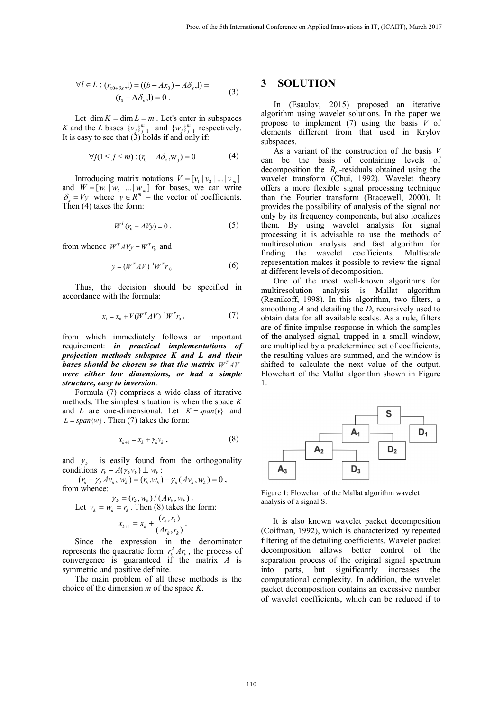$$
\forall l \in L : (r_{x0 + \delta x}, l) = ((b - Ax_0) - A\delta_{x}, l) =
$$
  
(t<sub>0</sub> - A\delta\_{x}, l) = 0. (3)

Let dim  $K = \dim L = m$ . Let's enter in subspaces *K* and the *L* bases  ${v_j}_{j=1}^m$  and  ${w_j}_{j=1}^m$  respectively. It is easy to see that  $(3)$  holds if and only if:

$$
\forall j (1 \le j \le m) : (r_0 - A \delta_x, w_j) = 0 \tag{4}
$$

Introducing matrix notations  $V = [v_1 | v_2 | ... | v_m]$ and  $W = [w_1 | w_2 | ... | w_m]$  for bases, we can write  $\delta_x = Vy$  where  $y \in R^m$  – the vector of coefficients. Then (4) takes the form:

$$
WT(r0 - AVy) = 0 , \t\t(5)
$$

from whence  $W^T A V y = W^T r_0$  and

$$
y = (WT A V)^{-1} WT r0.
$$
 (6)

Thus, the decision should be specified in accordance with the formula:

$$
x_1 = x_0 + V(W^T A V)^{-1} W^T r_0, \qquad (7)
$$

from which immediately follows an important requirement: *in practical implementations of projection methods subspace K and L and their bases should be chosen so that the matrix*  $W<sup>T</sup> A V$ *were either low dimensions, or had a simple structure, easy to inversion*.

Formula (7) comprises a wide class of iterative methods. The simplest situation is when the space *K* and *L* are one-dimensional. Let  $K = span\{v\}$  and  $L = span\{w\}$ . Then (7) takes the form:

$$
x_{k+1} = x_k + \gamma_k v_k \,, \tag{8}
$$

and  $\gamma_k$  is easily found from the orthogonality conditions  $r_k - A(\gamma_k v_k) \perp w_k$ :

 $(r_k - \gamma_k A v_k, w_k) = (r_k, w_k) - \gamma_k (A v_k, w_k) = 0$ , from whence:

$$
\gamma_k = (r_k, w_k) / (Av_k, w_k).
$$
  
Let  $v_k = w_k = r_k$ . Then (8) takes the form:  

$$
x_{k+1} = x_k + \frac{(r_k, r_k)}{(Ar_k, r_k)}.
$$

Since the expression in the denominator represents the quadratic form  $r_k^T A r_k$ , the process of convergence is guaranteed if the matrix *A* is symmetric and positive definite.

The main problem of all these methods is the choice of the dimension *m* of the space *K*.

#### **3 SOLUTION**

In (Esaulov, 2015) proposed an iterative algorithm using wavelet solutions. In the paper we propose to implement (7) using the basis *V* of elements different from that used in Krylov subspaces.

As a variant of the construction of the basis *V* can be the basis of containing levels of decomposition the  $R_0$ -residuals obtained using the wavelet transform (Chui, 1992). Wavelet theory offers a more flexible signal processing technique than the Fourier transform (Bracewell, 2000). It provides the possibility of analysis of the signal not only by its frequency components, but also localizes them. By using wavelet analysis for signal processing it is advisable to use the methods of multiresolution analysis and fast algorithm for finding the wavelet coefficients. Multiscale representation makes it possible to review the signal at different levels of decomposition.

One of the most well-known algorithms for multiresolution analysis is Mallat algorithm (Resnikoff, 1998). In this algorithm, two filters, a smoothing *A* and detailing the *D*, recursively used to obtain data for all available scales. As a rule, filters are of finite impulse response in which the samples of the analysed signal, trapped in a small window, are multiplied by a predetermined set of coefficients, the resulting values are summed, and the window is shifted to calculate the next value of the output. Flowchart of the Mallat algorithm shown in Figure 1.



Figure 1: Flowchart of the Mallat algorithm wavelet analysis of a signal S.

It is also known wavelet packet decomposition (Coifman, 1992), which is characterized by repeated filtering of the detailing coefficients. Wavelet packet decomposition allows better control of the separation process of the original signal spectrum into parts, but significantly increases the computational complexity. In addition, the wavelet packet decomposition contains an excessive number of wavelet coefficients, which can be reduced if to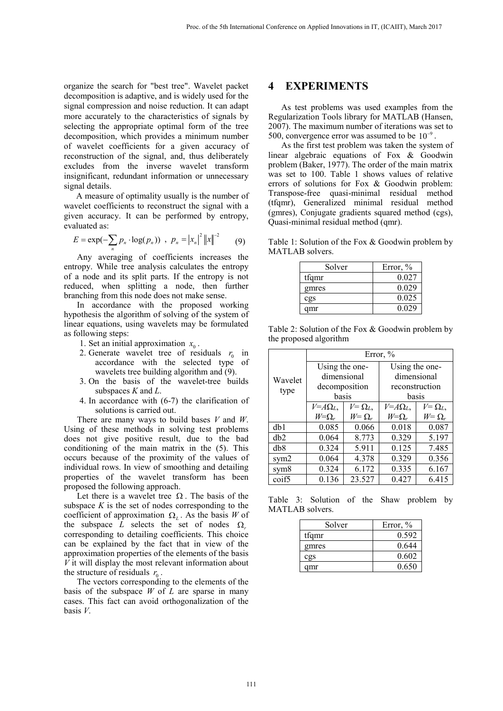organize the search for "best tree". Wavelet packet decomposition is adaptive, and is widely used for the signal compression and noise reduction. It can adapt more accurately to the characteristics of signals by selecting the appropriate optimal form of the tree decomposition, which provides a minimum number of wavelet coefficients for a given accuracy of reconstruction of the signal, and, thus deliberately excludes from the inverse wavelet transform insignificant, redundant information or unnecessary signal details.

A measure of optimality usually is the number of wavelet coefficients to reconstruct the signal with a given accuracy. It can be performed by entropy, evaluated as:

$$
E = \exp(-\sum_{n} p_n \cdot \log(p_n)) \, , \, p_n = |x_n|^2 ||x||^{-2} \qquad (9)
$$

Any averaging of coefficients increases the entropy. While tree analysis calculates the entropy of a node and its split parts. If the entropy is not reduced, when splitting a node, then further branching from this node does not make sense.

In accordance with the proposed working hypothesis the algorithm of solving of the system of linear equations, using wavelets may be formulated as following steps:

- 1. Set an initial approximation  $x_0$ .
- 2. Generate wavelet tree of residuals  $r_0$  in accordance with the selected type of wavelets tree building algorithm and (9).
- 3. On the basis of the wavelet-tree builds subspaces *K* and *L*.
- 4. In accordance with (6-7) the clarification of solutions is carried out.

There are many ways to build bases *V* and *W*. Using of these methods in solving test problems does not give positive result, due to the bad conditioning of the main matrix in the (5). This occurs because of the proximity of the values of individual rows. In view of smoothing and detailing properties of the wavelet transform has been proposed the following approach.

Let there is a wavelet tree  $\Omega$ . The basis of the subspace  $K$  is the set of nodes corresponding to the coefficient of approximation  $\Omega$ <sub>L</sub>. As the basis *W* of the subspace *L* selects the set of nodes  $\Omega$ . corresponding to detailing coefficients. This choice can be explained by the fact that in view of the approximation properties of the elements of the basis *V* it will display the most relevant information about the structure of residuals  $r_0$ .

The vectors corresponding to the elements of the basis of the subspace *W* of *L* are sparse in many cases. This fact can avoid orthogonalization of the basis *V*.

#### **4 EXPERIMENTS**

As test problems was used examples from the Regularization Tools library for MATLAB (Hansen, 2007). The maximum number of iterations was set to 500, convergence error was assumed to be  $10^{-9}$ .

As the first test problem was taken the system of linear algebraic equations of Fox & Goodwin problem (Baker, 1977). The order of the main matrix was set to 100. Table 1 shows values of relative errors of solutions for Fox & Goodwin problem: Transpose-free quasi-minimal residual method (tfqmr), Generalized minimal residual method (gmres), Conjugate gradients squared method (cgs), Quasi-minimal residual method (qmr).

Table 1: Solution of the Fox & Goodwin problem by MATLAB solvers.

| Solver | Error, $%$ |
|--------|------------|
| tfqmr  | 0.027      |
| gmres  | 0.029      |
| cgs    | 0.025      |
| amr    | 0.029      |

Table 2: Solution of the Fox & Goodwin problem by the proposed algorithm

| Wavelet<br>type  | Error, $%$      |                |                 |                |
|------------------|-----------------|----------------|-----------------|----------------|
|                  | Using the one-  |                | Using the one-  |                |
|                  | dimensional     |                | dimensional     |                |
|                  | decomposition   |                | reconstruction  |                |
|                  | basis           |                | basis           |                |
|                  | $V = A\Omega_L$ | $V = \Omega_L$ | $V = A\Omega_L$ | $V = \Omega_L$ |
|                  | $W=\Omega_r$    | $W = \Omega_r$ | $W=\Omega_r$    | $W = \Omega_r$ |
| db1              | 0.085           | 0.066          | 0.018           | 0.087          |
| dh2              | 0.064           | 8.773          | 0.329           | 5.197          |
| d <sub>b</sub> 8 | 0.324           | 5.911          | 0.125           | 7.485          |
| sym <sub>2</sub> | 0.064           | 4.378          | 0.329           | 0.356          |
| sym <sub>8</sub> | 0.324           | 6.172          | 0.335           | 6.167          |
| coif5            | 0.136           | 23.527         | 0.427           | 6.415          |

Table 3: Solution of the Shaw problem by MATLAB solvers.

| Solver | Error, $%$ |
|--------|------------|
| tfqmr  | 0.592      |
| gmres  | 0.644      |
| cgs    | 0.602      |
| amr    | 0.650      |